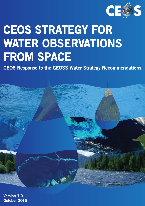

# CEOS STRATEGY FOR WATER OBSERVATIONS FROM SPACE

CEOS Response to the GEOSS Water Strategy Recommendations



Version 1.0 October 2015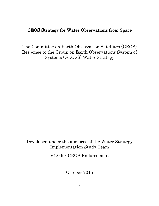# CEOS Strategy for Water Observations from Space

The Committee on Earth Observation Satellites (CEOS) Response to the Group on Earth Observations System of Systems (GEOSS) Water Strategy

Developed under the auspices of the Water Strategy Implementation Study Team

V1.0 for CEOS Endorsement

October 2015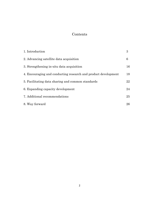# Contents

| 1. Introduction                                                | 3  |
|----------------------------------------------------------------|----|
| 2. Advancing satellite data acquisition                        | 6  |
| 3. Strengthening in-situ data acquisition                      | 16 |
| 4. Encouraging and conducting research and product development | 18 |
| 5. Facilitating data sharing and common standards              | 22 |
| 6. Expanding capacity development                              | 24 |
| 7. Additional recommendations                                  | 25 |
| 8. Way forward                                                 | 26 |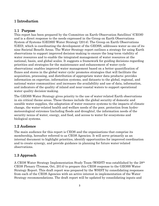# 1 Introduction

# 1.1 Purpose

This report has been prepared by the Committee on Earth Observation Satellites' (CEOS) and is a direct response to the needs expressed in the Group on Earth Observations System of Systems (GEOSS) Water Strategy (2014). The Group on Earth Observations (GEO), which is coordinating the development of the GEOSS, addresses water as one of its nine Societal Benefit Areas. The Water Strategy report outlines a strategy for using Earth observations to support improved decision-making to ensure the long-term viability of water resources and to enable the integrated management of water resources at the national, basin, and global scales. It suggests a framework for guiding decisions regarding priorities and strategies for the maintenance and enhancement of water cycle observations; enables improved water management based on a better quantification of fluxes and stores in the global water cycle; promotes strategies that will facilitate the acquisition, processing, and distribution of appropriate water data products; provides information on expertise, information systems, and datasets to the global, regional, and national water communities; and increases the availability and use of data, information, and indicators of the quality of inland and near-coastal waters to support operational water quality decision-making.

The GEOSS Water Strategy gives priority to the use of water-related Earth observations in six critical theme areas. These themes include the global security of domestic and useable water supplies, the adaptation of water resource systems to the impacts of climate change, the water-related health and welfare needs of the poor, protection from hydrometeorological extremes (including floods and droughts), the information needs of the security nexus of water, energy, and food, and access to water for ecosystems and biological systems.

# 1.2 Audience

The main audience for this report is CEOS and the organisations that comprise its membership, hereafter referred to as CEOS Agencies. It will serve primarily as an internal document to highlight priorities, identify opportunities for improved coordination and to create synergy, and provide guidance in planning for future water-related observations.

# 1.3 Approach

A CEOS Water Strategy Implementation Study Team (WSIST) was established by the 28th CEOS Plenary (Tromsø, Oct, 2014) to prepare this CEOS response to the GEOSS Water Strategy Report. This draft report was prepared by the WSIST by consolidating responses from each of the CEOS Agencies with an active interest in implementation of the Water Strategy recommendations. The draft report will be updated by consolidating inputs and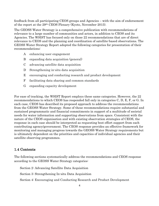feedback from all participating CEOS groups and Agencies – with the aim of endorsement of the report at the 29th CEOS Plenary (Kyoto, November 2015).

The GEOSS Water Strategy is a comprehensive publication with recommendations of relevance to a large number of communities and actors, in addition to CEOS and its Agencies. The WSIST has focused only on those 22 recommendations that are of direct relevance to CEOS and the planning and coordination of satellite-based observations. The GEOSS Water Strategy Report adopted the following categories for presentation of their recommendations:

- A enhancing user engagement
- B expanding data acquisition (general)
- C advancing satellite data acquisition
- D Strengthening in-situ data acquisition
- E encouraging and conducting research and product development
- F facilitating data sharing and common standards
- G expanding capacity development

For ease of tracking, the WSIST Report employs these same categories. However, the 22 recommendations to which CEOS has responded fall only in categories C, D, E, F, or G. In each case, CEOS has described its proposed approach to address the recommendations from the GEOSS Water Strategy. Some of these recommendations require substantial and sustained programmatic and financial commitments in support of a multitude of societal needs for water information and supporting observations from space. Consistent with the nature of the CEOS organisation and with existing observation strategies of CEOS, the response in each case should be interpreted as requesting best effort support from each contributing agency/government. The CEOS response provides an effective framework for monitoring and managing progress towards the GEOSS Water Strategy requirements but is ultimately dependent on the priorities and capacities of individual agencies and their satellite observing programmes.

# 1.4 Contents

The following sections systematically address the recommendations and CEOS response according to the GEOSS Water Strategy categories:

Section 2: Advancing Satellite Data Acquisition

Section 3: Strengthening In-situ Data Acquisition

Section 4: Encouraging and Conducting Research and Product Development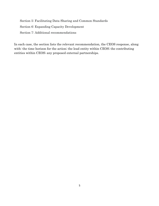Section 5: Facilitating Data Sharing and Common Standards Section 6: Expanding Capacity Development Section 7: Additional recommendations

In each case, the section lists the relevant recommendation, the CEOS response, along with: the time horizon for the action; the lead entity within CEOS; the contributing entities within CEOS; any proposed external partnerships.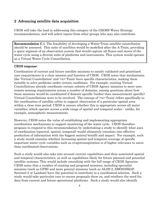# 2 Advancing satellite data acquisition

CEOS will take the lead in addressing this category of the GEOSS Water Strategy recommendations, and will solicit inputs from other groups who may also contribute.

**Recommendation C.1.** The feasibility of developing a Water-Train satellite constellation should be assessed. This suite of satellites would be modelled after the A-Train, providing a space segment of an observation system that would capture all fluxes and stores of the water cycle using a diverse suite of platforms and instruments. This system would operate as a Virtual Water Cycle Constellation.

#### CEOS response:

Coordination of current and future satellite missions to satisfy validated and prioritized user requirements is a clear mission and function of CEOS. CEOS notes that mechanisms like 'Virtual Constellation' and '<x>-Train' have specific characteristics, making them suitable to solve problems under certain conditions. For example, existing Virtual Constellations already coordinate certain subsets of CEOS Agency missions to meet user remote sensing requirements across a number of domains, raising questions about how those missions would be coordinated if domain-specific (rather than measurement-specific) Virtual Constellations were to be involved. The concept of '<x>-Train' refers specifically to the coordination of satellite orbits to support observation of a particular spatial area within a close time period. CEOS is unsure whether this is appropriate across all water variables, which operate across a wide range of spatial and temporal scales - unlike, for example, atmospheric measurements.

However, CEOS notes the value of establishing and implementing appropriate coordination mechanisms to support monitoring of the water cycle. CEOS therefore proposes to respond to this recommendation by undertaking a study to identify what axes of coordination (spectral, spatial, temporal) would ultimately translate into effective production of information with the biggest societal benefit and impact. For example, such a study would examine whether increasing spatial and temporal coverage of specific important water cycle variables such as evapotranspiration is of higher relevance to users than coordinated observations.

Such a study would also take into account current capabilities and their associated spatial and temporal characteristics, as well as capabilities likely for future planned and potential satellite systems. This would include consulting with the full range of CEOS Agencies. CEOS notes that a number of existing and proposed missions, including specialist missions (such as GPM) and more general missions (such as ALOS-2, SMOS/SMAP, Sentinel-2 or Landsat) have the potential to contribute to a coordinated solution. Such a study would take particular care to ensure proposals draw on, and reinforce the need for, data from current and future operational platforms. Such a study would also identify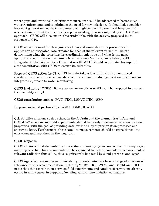where gaps and overlaps in existing measurements could be addressed to better meet water requirements, and to minimise the need for new missions. It should also consider how next-generation geostationary missions might impact the temporal frequency of observations without the need for new polar orbiting missions implied by an '<x>-Train' approach. CEOS will also ensure this study links with the activity proposed in its response to C10.

CEOS notes the need for clear guidance from end users about the procedures for application of integrated data streams for each of the relevant variables - before determining what the priorities for coordination might be and what is the most appropriate coordination mechanism (such as a new Virtual Constellation). GEO Integrated Global Water Cycle Observations (IGWCO) should coordinate this input, in close consultation with CEOS to ensure its suitability.

Proposed CEOS action for C1: CEOS to undertake a feasibility study on enhanced coordination of satellite missions, data acquisition and product generation to support an integrated approach to water monitoring.

CEOS lead entity: WSIST (One year extension of the WSIST will be proposed to conduct the feasibility study)

CEOS contributing entities: P-VC (TBC), LSI-VC (TBC), SEO

# Proposed external partnerships: WMO, CGMS, IGWCO

C.2. Satellite missions such as those in the A-Train and the planned EarthCare and GCOM-W2 missions and field experiments should be closely coordinated to measure cloud properties, with the goal of providing data for the study of precipitation processes and energy budgets. Furthermore, these satellite measurements should be transitioned into operations and sustained in the long term.

## CEOS response:

CEOS agrees with statements that the water and energy cycles are coupled in many ways, and proposes that this recommendation be expanded to include coincident measurement of relevant radiation fluxes (i.e., those significantly impacted by cloud presence and type).

CEOS Agencies have expressed their ability to contribute data from a range of missions of relevance to this recommendation, including VIIRS, CRIS, ATMS and EarthCare. CEOS notes that this coordination between field experiments and satellite observations already occurs in many cases, in support of existing calibration/validation campaigns.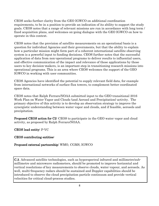CEOS seeks further clarity from the GEO IGWCO on additional coordination requirements, to be in a position to provide an indication of its ability to support the study goals. CEOS notes that a range of relevant missions are run in accordance with long term / fixed acquisition plans, and welcomes on-going dialogue with the GEO IGWCO on how to operate in this context.

CEOS notes that the provision of satellite measurements on an operational basis is a question for individual Agencies and their governments, but that the ability to explain how a particular mission might form part of a coherent international satellite observing system is a powerful input to funding decisions. CEOS further notes that the successful application of data from non-operational programs to deliver results to influential users, and effective communication of the impact and relevance of those applications by those users to key decision-makers, is an important step in transitioning research missions into operational programs. This is an area where CEOS welcomes the support of the GEO IGWCO in working with user communities.

CEOS Agencies have identified the potential to supply relevant field data, for example from international networks of surface flux towers, to complement better coordinated space data.

CEOS notes that Ralph Ferraro/NOAA submitted input to the GEO transitional 2016 Work Plan on Water Vapor and Clouds (and Aerosol and Precipitation) activity. The primary objective of this activity is to develop an observation strategy to improve the synergistic understanding between water vapor and clouds, and if feasible, aerosols and precipitation.

Proposed CEOS action for C2: CEOS to participate in the GEO water vapor and cloud activity, as proposed by Ralph Ferraro/NOAA.

CEOS lead entity: P-VC

# CEOS contributing entities:

# Proposed external partnership: WMO, CGMS, IGWCO

C.3. Advanced satellite technologies, such as hyperspectral infrared and millimetre/submillimetre and microwave radiometers, should be promoted to improve horizontal and vertical resolutions of key measurements to observe clouds, water vapour, and aerosols. As well, multi-frequency radars should be sustained and Doppler capabilities should be introduced to observe the cloud precipitation particle continuum and provide vertical velocities for critical cloud-process studies.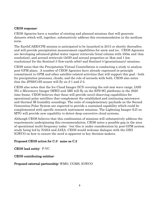## CEOS response:

CEOS Agencies have a number of existing and planned missions that will generate datasets which will, together, substantively address this recommendation in the medium term.

The EarthCARE/CPR mission is anticipated to be launched in 2015 or shortly thereafter, and will provide precipitation measurement capabilities for snow and ice. CEOS Agencies are developing advanced global water vapour retrievals (total column with 350m and 1km resolution), and aerosol retrievals (AOD and aerosol properties at 3km and 1 km resolutions) for the Sentinel-3 (low-earth orbit) and Sentinel-4 (geostationary) missions.

CEOS notes that the Precipitation Virtual Constellation is conducting a study to analyse post-GPM plans. A number of CEOS Agencies have already expressed in-principle commitment to GPM and other satellite-related activities that will support this goal - both for precipitation processes, clouds, and the role of aerosols with both. CEOS also notes that the JPSS/CrIS sensor will fly on J-1 and J-2.

CEOS also notes that the Ice Cloud Imager (ICI) covering the sub-mm wave range, IASI-NG a Microwave Imager (MWI) and 3MI will fly on the EPS-SG platforms in the 2020 time frame. CEOS believes that these will provide novel observing capabilities for operational polar satellites that complement the established and continuing microwave and thermal IR humidity soundings. The suite of complementary payloads on the Second Generation Polar System are expected to provide a sustained capability which could be complemented with specific research instrument missions. The Lightning Imager (LI) on MTG will provide new capability to detect deep convective cloud systems.

Although CEOS believes that this combination of missions will substantively address the requirements underpinning this recommendation, CEOS notes a possible gap in the area of operational multi-frequency radar - but this is under consideration by post-GPM system study being led by NASA and JAXA. CEOS would welcome dialogue with the GEO IGWCO on how to ensure the need is apparent to key decision-makers.

## Proposed CEOS action for C.3: same as C.2

CEOS lead entity: P-VC

CEOS contributing entities:

Proposed external partnership: WMO, CGMS, IGWCO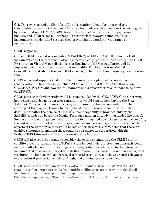C.4. The coverage and quality of satellite observations should be improved to a constellation providing three-hourly (or more frequent) revisit times over the entire globe by a combination of GMI/AMSR2-class multi-channel conically scanning microwave imagers and ATMS-class multi-channel cross-track microwave sounders. These instruments are identified because they provide input data for a wide range of applications.

## CEOS response:

Current GPM observations include GMI/AMSR-2, ATMS and SAPHIR plus the DMSP instruments and the recommendation has been already realized substantially. The CEOS Precipitation Virtual Constellation is coordinating the GPM constellation and its improvements in coverage and observation quality. The Precipitation Virtual Constellation is studying the post-GPM mission, including a three-frequency precipitation radar.

CEOS notes and supports that a number of missions are planned, or are under consideration. These missions include ATMS on J-1 and J-2, AMSR-2 follow-on on GCOM-W2, W-COM and two conical scanners and a cross-track MW sounder to be flown on EPS-SG.

CEOS notes that further study would be required, led by the GEO IGWCO, to determine how science and downstream user communities would benefit from having the 8-12 AMSR2/GMI type instruments in space, as proposed by this recommendation. The coverage of the tropics - thanks to low-inclined orbit missions - should be evaluated in detail, since (after the demise of TRMM) current capability is provided only by the SAPHIR sounder on board the Megha-Tropiques mission (already in extended life phase). Such a study should pay particular attention to anticipated downstream economic benefits, the cost of establishing the relevant space and ground segments, and clarification of the aspects of the water cycle that would be left under-observed. CEOS notes that there are positive synergies in enabling these study to be realized in cooperation with the WMO/CGMS International Precipitation Working Group.

CEOS will also conduct a study to consider the option of emulating the TRMM multisatellite precipitation analysis (TMPA) system for soil moisture. Such an approach would involve multiple polar orbiting and geostationary satellites calibrated to the reference instrument(s) on a core soil moisture satellite mission. The possibility of increased spatial resolution (< 1km), as well as increased temporal resolution, may have greater relevance to agricultural production which is of high, and growing, policy relevance.

CEOS notes that the Soil Moisture Operational Products System (SMOPS) of NOAA combines soil moisture retrievals from multi-satellites/sensors to provide a global soil moisture map with more spatial and temporal coverage (http://www.ospo.noaa.gov/Products/land/smops/). CEOS supports the idea of having a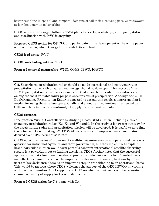better sampling in spatial and temporal domains of soil moisture using passive microwave at low frequency on polar orbits.

CEOS notes that George Huffman/NASA plans to develop a white paper on precipitation and coordination with P-VC is on-going.

Proposed CEOS Action for C4: CEOS to participate in the development of the white paper on precipitation, which George Huffman/NASA will lead.

CEOS lead entity: P-VC

CEOS contributing entities: TBD

## Proposed external partnership: WMO, CGMS, IPWG, IGWCO

C.5. Space-borne precipitation radar should be made operational and next-generation precipitation radar with advanced technology should be developed. The success of the TRMM precipitation radar has demonstrated that space-borne radar observations are among the most valuable multi-purpose observations of precipitation. Although the GPM Dual-frequency Precipitation Radar is expected to extend this result, a long-term plan is needed for using these radars operationally and a long-term commitment is needed by GEO members to ensure a continuity of supply for these instruments.

#### CEOS response:

Precipitation Virtual Constellation is studying a post-GPM mission, including a threefrequency precipitation radar (Ku, Ka and W bands). In the study, a long-term strategy for the precipitation radar and precipitation mission will be developed. It is useful to note that the potential of assimilating SMOS/SMAP data in order to improve rainfall estimates derived from GPM series of satellites.

CEOS notes that issues of provision of satellite measurements on an operational basis is a question for individual Agencies and their governments, but that the ability to explain how a particular mission would form part of a coherent international satellite observing system is a powerful input to funding decisions. CEOS further notes that the successful application of data from non-operational programs to deliver results to influential users, and effective communication of the impact and relevance of those applications by those users to key decision-makers, is an important step in transitioning to an operational basis. This would be an area where CEOS welcomes the support of the GEO IGWCO in working with user communities. GEO support and GEO member commitments will be requested to ensure continuity of supply for these instruments.

## Proposed CEOS action for C.5: same with C.4.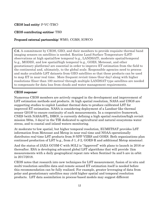#### CEOS lead entity: P-VC (TBC)

#### CEOS contributing entities: TBD

#### Proposed external partnership: WMO, CGMS, IGWCO

C.6. A commitment by CEOS, GEO, and their members to provide requisite thermal band imaging sensors on satellites is needed. Routine Land Surface Temperature (LST) observations at high spatial/low temporal (e.g., LANDSAT), moderate spatial/temporal (e.g., MODIS), and low spatial/high temporal (e.g., GOES, Meteosat, and other geostationary platforms) are essential in order to improve ET estimation from the field to the continental and, ultimately, to the global scale. Responsible agencies need to process and make available LST datasets from GEO satellites so that these products can be used to map ET in near-real time. More frequent revisit times (four-day) along with higher resolutions (finer than 100 metres) through multiple LANDSAT-type satellites are needed to compensate for data loss from clouds and water management requirements.

#### CEOS response:

l,

Numerous CEOS members are actively engaged in the development and improvement of LST estimation methods and products. At high spatial resolution, NASA and USGS are supporting studies to exploit Landsat thermal data to produce calibrated LST for improved ET estimation. NASA is considering deployment of a Landsat-like thermal sensor (2019) to ensure continuity of such measurements. In a cooperative framework, CNES (with NASA/JPL, ISRO), is currently defining a high spatial resolution/high revisit mission (60m, 3 days) in the TIR dedicated to agricultural and natural ecosystems water stress, and to coastal and inland waters monitoring.

At moderate-to-low spatial, but higher temporal resolution, EUMETSAT provides LST information from Meteosat and Metop in near real time and NOAA operationally distributes real-time LST products from S-NPP VIIRS and GOES. Both organizations plan continued production of LST (e.g., from J-1, J-2, GOES-R and additional Metop missions).

And the status of JAXA GCOM-C with SGLI is "Approved" with plans to launch in 2016 or thereafter. ESA is developing advanced global LST algorithms that will provide 1km measurements with a daily geographical repeat rate when Sentinel-3a and b are in orbit in 2017/2018.

CEOS notes that research into new techniques for LST measurement, fusion of in-situ and multi-resolution satellite data and remote sensed ET estimation itself is needed before this recommendation can be fully realized. For example, greater leveraging of data from polar and geostationary satellites may yield higher spatial and temporal resolution products. LST data assimilation in process-based models may suggest different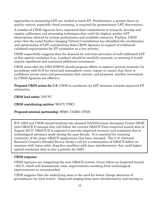approaches to measuring LST are needed to track ET. Furthermore, a greater focus on quality control, especially cloud screening, is required for geostationary LST observations.

A number of CEOS Agencies have expressed their commitment to research, develop and employ calibration and processing techniques that yield the highest quality LST observations allowed by system performance and available resources. Further, CEOS notes that the Land Surface Imaging Virtual Constellation has identified the coordination and optimization of LST contributions from CEOS Agencies in support of confirmed/ validated requirements for ET estimation as a key priority.

CEOS respectfully suggests that the demand for real-time provision of well-calibrated LST at fine spatial resolution (e.g., Landsat) should be carefully assessed, as meeting it would require significant and sustained additional investment.

CEOS notes that the GEO IGWCO should progress efforts to improve ground networks (in accordance with D.2) for cloud and atmospheric water vapour to ensure that there is confidence across users and governments that current, and proposed, satellite investment by CEOS Agencies are effective.

Proposed CEOS action for C.6: CEOS to coordinate its LST missions towards improved ET estimation.

## CEOS lead entity: LSI-VC

#### CEOS contributing entities: WGCV (TBC)

#### Proposed external partnership: WMO, CGMS, GTOS

C.7. GEO and CEOS should facilitate the planned NASA/German Aerospace Centre (DLR) joint GRACE II mission that will follow the current GRACE Twin (expected launch date of August 2017). GRACE II is expected to provide improved accuracy and resolution due to technological advances made during the past decade. It is essential for ensuring continuity of the many GRACE applications that have emerged. The U.S. National Research Council's Decadal Survey Study's call for a continuation of GRACE follow-on missions with lower-orbit, drag-free satellites with laser interferometry that yield higher spatial resolution data is also a priority for GEO.

#### CEOS response:

CEOS Agencies are supporting the next GRACE system, Grace follow-on (expected launch  $\sim$ 2017), which will demonstrate some improvements resulting from technological improvements as recommended.

CEOS suggests that the underlying issue is the need for better change detection of groundwater (or total water). Improved ranging from laser interferometry and moving to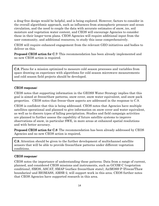a drag-free design would be helpful, and is being explored. However, factors to consider in the overall algorithmic approach, such as influences from atmospheric pressure and ocean circulation, and the need to couple the data with accurate estimates of snow, ice, soil moisture and vegetation water content, and CEOS will encourage Agencies to consider these in their longer-term plans. CEOS Agencies will require additional input from the user community, and additional resources, to study this issue comprehensively.

CEOS will require enhanced engagement from the relevant GEO initiatives and bodies to deliver on this.

**Proposed CEOS action for C.7:** This recommendation has been already implemented and no new CEOS action is required.

C.8. Plans for a mission optimized to measure cold season processes and variables from space drawing on experience with algorithms for cold season microwave measurements and cold season field projects should be developed.

#### CEOS response:

CEOS notes that supporting information in the GEOSS Water Strategy implies that this goal is aimed at freeze/thaw patterns, snow cover, snow water equivalent, and snow pack properties. CEOS notes that freeze-thaw aspects are addressed in the response to C.9.

CEOS is confident that this is being addressed. CEOS notes that Agencies have multiple satellites operational and planned to give information on snow cover and water equivalent, as well as to discern types of falling precipitation. Studies and field campaign activities are planned to further assess the capability of future satellite systems to improve observations of snow, in particular SWE, in more areas at enhanced spatial resolutions and with better accuracy.

Proposed CEOS action for C.8: The recommendation has been already addressed by CEOS Agencies and no new CEOS action is required.

C.9. Attention should be given to the further development of multichannel satellite sensors that will be able to provide freeze/thaw patterns under different vegetation conditions.

#### CEOS response:

CEOS notes the importance of understanding these patterns. Data from a range of current, planned, and considered CEOS missions and instruments, such as GCOM-C (vegetation conditions), SMOS, ASCAT, SMAP (surface freeze/thaw state), AirMOSS-P (Freeze/Thaw boundaries) and BIOMASS, AMSR-2, will support work in this area. CEOS further notes that CEOS Agencies have supported research in this area.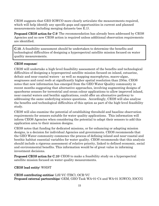CEOS suggests that GEO IGWCO more clearly articulate the measurements required, which will help identify any specific gaps and opportunities in current and planned measurements including merging datasets (see E.1).

Proposed CEOS action for C.9: The recommendation has already been addressed by CEOS Agencies and no new CEOS action is required unless additional observation requirements are identified.

C.10. A feasibility assessment should be undertaken to determine the benefits and technological difficulties of designing a hyperspectral satellite mission focused on water quality measurements.

#### CEOS response:

CEOS will undertake a high-level feasibility assessment of the benefits and technological difficulties of designing a hyperspectral satellite mission focused on inland, estuarine, deltaic and near coastal waters - as well as mapping macrophytes, macro-algae, seagrasses and coral reefs at significantly higher spatial resolution than 250m. CEOS notes that new information has emerged from the GEO Water Quality community in recent months suggesting that alternative approaches, involving augmenting designs of spaceborne sensors for terrestrial and ocean colour applications to allow improved inland, near coastal waters and benthic applications, could offer an alternative pathway to addressing the same underlying science questions. Accordingly, CEOS will also analyse the benefits and technological difficulties of this option as part of the high-level feasibility study.

CEOS will also examine the potential of establishing threshold and baseline observation requirements for sensors suitable for water quality applications. This information will inform CEOS Agencies when considering the potential to adapt their sensors to add this application area to their mission designs.

CEOS notes that funding for dedicated missions, or for enhancing or adapting mission designs, is a decision for individual Agencies and governments. CEOS recommends that the GEO Water community commence the process of defining inland and near-coastal and benthic habitat essential variables for water quality. CEOS recommends that this analysis should include a rigorous assessment of relative priority, linked to defined economic, social and environmental benefits. This information would be of great value in informing investment decisions.

Proposed CEOS action for C.10: CEOS to make a feasibility study on a hyperspectral satellite mission focused on water quality measurements.

CEOS lead entity: WSIST

CEOS contributing entities: LSI-VC (TBC), OCR-VC Proposed external partnerships: GEM, GEO Task WA-01-C4 and WA-01 IGWCO, IOCCG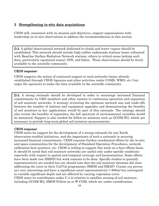# 3 Strengthening in-situ data acquisitions

CEOS will, consistent with its mission and objectives, support organizations with leadership on in-situ observations to address the recommendations in this section.

**D.2.** A global observational network dedicated to clouds and water vapour should be established. This network should include high-calibre radiosonde stations (some collocated with Baseline Surface Radiation Network stations, others in critical areas lacking such data, particularly equatorial zones), GPS, and lidars. These observations should be freely available to the scientific community.

#### CEOS response:

 $\overline{a}$ 

CEOS supports the notion of continued support to such networks (many already established through CEOS Agencies and other activities under CGMS, WMO, etc.) but urges the operators to make the data available to the scientific community.

D.5. A strong rationale should be developed in order to encourage increased financial commitments by GEO members and other nations to continuous operation and expansion of soil moisture networks. A strategy reviewing the optimum network size and trade-offs between the number of stations and equipment upgrades and demonstrating the benefits of soil moisture in key applications would be part of this rationale. The strategy should also review the benefits of supersites; the full spectrum of environmental variables would be measured. Support is also needed for follow-on missions such as GCOM-W2, which are necessary to provide long-term global soil moisture measurements.

#### CEOS response:

CEOS notes its support for the development of a strong rationale for any Earth observation-enabled initiatives, and the importance of such a rationale in securing increased financial commitments. CEOS requests further coordinated efforts by the in-situ and space communities for the development of Standard Operation Procedures, network calibration best practices, etc. CEOS is willing to support this work on a best-efforts basis. It should be noted that soil moisture networks are useful only under specific conditions especially with respect to spatial and temporal coverage and harmonisation. Some efforts have been made (see ISMIN) but work remains to be done. Specific studies to quantify representativity are needed but one should note that the soil moisture missions did start addressing the issue in their Cal/Val programmes (SMOS and SMAP). Cosmic ray proves are very interesting and have a significant areal representativity  $(2800<sub>m</sub>)$  but correspond to variable significant depth and are affected by varying vegetation cover. CEOS notes its contribution under C.4 in relation to satellite sensing of soil moisture, including GCOM-W2, SMOS Follow-on or W-COM, which are under consideration.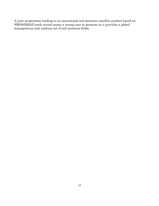A joint programme leading to an operational soil moisture satellite product based on SMOS/SMAP track record seems a strong case to promote as it provides a global homogeneous and uniform set of soil moisture fields.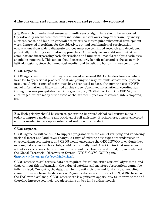# 4 Encouraging and conducting research and product development

E.1. Research on individual-sensor and multi-sensor algorithms should be supported. Operationally useful estimates from individual sensors over complex terrain, icy/snowy surfaces, coast, and land (in general) are priorities that require substantial development work. Improved algorithms for the objective, optimal combination of precipitation observations from widely disparate sources must see continued research and development, potentially including assimilation approaches. Conversely, as an additional initiative, combinations incorporating both observations and numerical model/reanalysis estimates should be supported. This action should particularly benefit polar and cool-season midlatitude regions, since the numerical results tend to validate better in those conditions.

#### CEOS response:

-

CEOS Agencies confirm that they are engaged in several R&D activities (some of which have led to operational products) that are paving the way for multi-sensor precipitation products. A wide range of techniques have been used to date, although the use of NWP model information is likely limited at this stage. Continued international coordination through various precipitation working groups (i.e., CGMS/IPWG and CEOS/P-VC) is encouraged, where many of the state-of-the-art techniques are discussed, intercompared, etc.

**E.5.** High priority should be given to generating improved global soil texture maps in order to improve modelling and retrieval of soil moisture. Furthermore, a more concerted effort is needed to develop an integrated soil moisture product.

#### CEOS response:

CEOS Agencies will continue to support programs with the aim of verifying and validating national forest and land cover change. A range of existing data types are under-used in characterising soil texture, and CEOS would encourage the GEO IGWCO to evaluate how existing data types (such as SAR) could be optimally used. CEOS notes that numerous activities exist across the world and those should be closely coordinated, in particular with the Global Terrestrial Observation System (GTOS) GOFC-GOLD panel (http://www.fao.org/gtos/gofc-gold/index.html).

CEOS notes that soil texture data are required for soil moisture retrieval algorithms, and that, without this information, the value of satellite soil moisture observations cannot be fully realised. Currently, the data used by the soil moisture and land surface modeling communities are from the datasets of Reynolds, Jackson and Rawls (1999, WRR) based on the FAO world soil map. CEOS notes there is significant opportunity to improve these and therefore improve soil moisture algorithms and/or land surface models.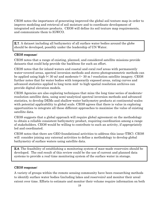CEOS notes the importance of generating improved the global soil texture map in order to improve modeling and retrieval of soil moisture and to coordinate development of integrated soil moisture products. CEOS will define its soil texture map requirements, and communicate them to IGWCO.

**E.7.** A dataset including all bathymetry of all surface water bodies around the globe should be developed, possibly under the leadership of UN Water.

#### CEOS response:

CEOS notes that a range of existing, planned, and considered satellite missions provide datasets that could help provide the backbone for such an effort.

CEOS notes that for inland waters and coastal and coral reef areas with permanently water-covered areas, spectral inversion methods and stereo photogrammetric methods can be applied using high  $\leq 30$  m) and moderate  $\leq 30$  m) resolution satellite imagery. CEOS further notes that for water bodies with temporarily exposed areas, rating curves and advanced statistics applied to long term mid- to high-spatial resolution archives can provide digital elevation models.

CEOS Agencies are also exploring techniques that mine the long time-series of moderateresolution satellite data, using semi-analytical spectral inversion methods and advanced statistics, to develop DEMs and shallow-water bathymetry products at continental-scales with potential applicability to global scale. CEOS agrees that there is value in exploring opportunities to integrate all these different approaches to maximise the value of existing satellite data.

CEOS suggests that a global approach will require global agreement on the methodology to obtain a reliable consistent bathymetry product, requiring coordination among a range of stakeholders. CEOS would be willing to contribute to such an activity, if appropriately led and coordinated.

CEOS notes that there are GEO foundational activities to address this issue (TBC). CEOS will consider joining any external activities to define a methodology to develop global bathymetry of surface waters using satellite data.

E.8. The feasibility of establishing a monitoring system of man-made reservoirs should be developed. The end result of this review could be the use of current and planned data systems to provide a real-time monitoring system of the surface water in storage.

#### CEOS response:

A variety of groups within the remote sensing community have been researching methods to identify surface water bodies (including lakes and reservoirs) and monitor their areal extent over time. Efforts to estimate and monitor their volume require information on both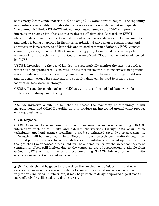bathymetry (see recommendation E.7) and stage (i.e., water surface height). The capability to monitor stage reliably through satellite remote sensing is scale/resolution dependent. The planned NASA/CNES SWOT mission (estimated launch date 2020) will provide information on stage for lakes and reservoirs of sufficient size. Research on SWOT algorithm development, calibration and validation across a wide variety of environments and scales is being supported in the interim. Additional discussion of requirements and specification is necessary to address this and related recommendations. CEOS Agencies commit to participation in a GEOSS user/working group formulated to define a global framework for reservoir monitoring. Coordination of such CEOS involvement would be led by CNES.

USGS is investigating the use of Landsat to systematically monitor the extent of surface waters at high spatial resolution. While these measurements in themselves to not provide absolute information on storage, they can be used to index changes in storage conditions and, in combination with other satellite or in-situ data, can be used to estimate and monitor surface water in storage.

CEOS will consider participating in GEO activities to define a global framework for surface water storage monitoring.

E.9. An initiative should be launched to assess the feasibility of combining in-situ measurements and GRACE satellite data to produce an integrated groundwater product on a regional basis.

#### CEOS response:

٦

CEOS Agencies have explored, and will continue to explore, combining GRACE information with other in-situ and satellite observations through data assimilation techniques and land surface modeling to produce enhanced groundwater assessments. Information will be made available to GEO and the water cycle community through peer reviewed publications on achieved capabilities and limitations of current approaches. It is thought that the enhanced assessment will have some utility for the water management community, albeit still limited due to the coarse nature of observations available from GRACE. CEOS will continue to explore combining GRACE information with in-situ observations as part of its routine activities.

**E.10.** Priority should be given to research on the development of algorithms and new sensors to measure the water equivalent of snow on the ground under a wide range of vegetation conditions. Furthermore, it may be possible to design improved algorithms to more effectively utilize existing data sources.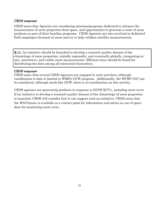### CEOS response:

CEOS notes that Agencies are considering missions/programs dedicated to advance the measurement of snow properties from space, and opportunities to generate a suite of snow products as part of their baseline programs. CEOS Agencies are also involved in dedicated field campaigns focussed on snow and ice to help validate satellite measurements.

**E.11.** An initiative should be launched to develop a research-quality dataset of the climatology of snow properties, initially regionally, and eventually globally, integrating insitu, microwave, and visible snow measurements. Efficient ways should be found for distributing the data among all interested researchers.

#### CEOS response:

CEOS notes that several CEOS Agencies are engaged in such activities, although coordination to date is limited to WMO's GCW program. Additionally, the WCRP CliC can be considered, although much like GCW, there is no coordination on this activity.

CEOS agencies are generating products in response to GCOS ECV's, including snow cover. If an initiative to develop a research-quality dataset of the climatology of snow properties is launched, CEOS will consider how it can support such an initiative. CEOS notes that the WGClimate is available as a contact point for information and advice on use of space data for monitoring snow cover.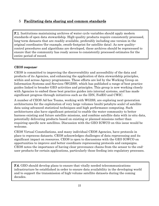# 5 Facilitating data sharing and common standards

**F.1.** Institutions maintaining archives of water cycle variables should apply modern standards of open data stewardship. High-quality products require consistently processed, long-term datasets that are readily available, preferably including one version in the original coordinates (for example, swath-footprint for satellite data). As new qualitycontrol procedures and algorithms are developed, these archives should be reprocessed to ensure that the community has ready access to consistently processed estimates for the entire period of record.

# CEOS response:

I

j

CEOS is committed to improving the discoverability and accessibility of the data and products of its Agencies, and enhancing the application of data stewardship principles, within and across Agency programmes. These efforts are led by the Working Group on Information Systems and Services (WGISS), which has published a range of best practice guides linked to broader GEO activities and principles. This group is now working closely with Agencies to embed these best practice guides into internal systems, and has made significant progress through initiatives such as the IDN, FedEO and CWIC.

A number of CEOS Ad-hoc Teams, working with WGISS, are exploring next-generation architectures for the exploitation of very large volumes (multi-petabyte scale) of satellite data using advanced statistical techniques and high performance computing. Such architectures also have significant potential to enable the water community to better harness existing and future satellite missions, and combine satellite data with in-situ data, potentially delivering products based on existing or planned missions rather than requiring specific new satellites. Discussion with the GEO IGWCO on this issue would be welcome.

CEOS Virtual Constellations, and many individual CEOS Agencies, have protocols in place to reprocess datasets. CEOS acknowledges challenges of data reprocessing and its significant impact on resources. CEOS is open to discussions with the GEO IGWCO on opportunities to improve and better coordinate reprocessing protocols and campaigns. CEOS notes the importance of having clear provenance chains from the sensor to the enduser products for certain applications, particularly those feeding into regulatory processes.

F.6. GEO should develop plans to ensure that vitally needed telecommunications infrastructure be established in order to ensure data availability in the developing world and to support the transmission of high-volume satellite datasets during the coming decades.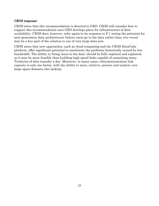## CEOS response:

CEOS notes that this recommendation is directed to GEO. CEOS will consider how to support this recommendation once GEO develops plans for infrastructure of data availability. CEOS does, however, refer again to its response to F.1 noting the potential for next-generation data architectures (where users go to the data rather than vice-versa) may be a key part of the solution to use of very large data sets.

CEOS notes that new approaches, such as cloud computing and the CEOS DataCube platform, offer significant potential to ameliorate the problems historically caused by low bandwidth. The ability to 'bring users to the data' should be fully explored and exploited, as it may be more feasible than building high-speed links capable of sustaining many Terabytes of data transfer a day. Moreover, in many cases, telecommunication link capacity is only one factor, with the ability to store, retrieve, process and analyse very large space datasets also lacking.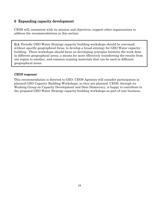# 6 Expanding capacity development

CEOS will, consistent with its mission and objectives, support other organisations to address the recommendations in this section.

G.3. Periodic GEO Water Strategy capacity-building workshops should be convened, without specific geographical focus, to develop a broad strategy for GEO Water capacitybuilding. These workshops should focus on developing synergies between the work done in different geographical areas, a means for more effectively transferring the results from one region to another, and common training materials that can be used in different geographical areas.

## CEOS response:

j

1

This recommendation is directed to GEO. CEOS Agencies will consider participation in planned GEO Capacity Building Workshops, as they are planned. CEOS, through its Working Group on Capacity Development and Data Democracy, is happy to contribute to the proposed GEO Water Strategy capacity-building workshops as part of core business.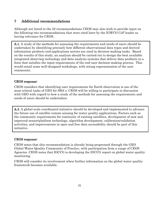# 7 Additional recommendations

Although not listed in the 22 recommendations CEOS may also wish to provide input on the following two recommendations that were cited later by the IGWCO CoP leader as having relevance for CEOS..

A.1. A study of the methods for assessing the requirements and needs of users should be undertaken by identifying precisely how different observational data types and derived information products end-applications sectors are used in decision-making tasks. Based on the results of this study, an analysis should be carried out to design the best available integrated observing technology and data analysis systems that deliver data products in a form that satisfies the input requirements of the end-user decision-making process. This would entail some well-designed workshops, with strong representation of the user community.

## CEOS response:

L

l

l

CEOS considers that identifying user requirements for Earth observation is one of the most critical tasks of GEO for SBA`s. CEOS will be willing to participate in discussion with GEO with regard to how a study of the methods for assessing the requirements and needs of users should be undertaken.

A.3. A global-scale coordinated initiative should be developed and implemented to advance the future use of satellite remote sensing for water quality applications. Factors such as the community requirements for continuity of existing satellites, development of new and improved sensor/platform technology, algorithm development, calibration/validation activities, and improvements in open and free data accessibility should be part of this initiative.

#### CEOS response:

CEOS notes that this recommendation is already being progressed through the GEO Global Water Quality Community of Practice, with participation from a range of CEOS Agencies. CEOS notes that IOCCG is developing the IOCCG report on global water quality monitoring.

CEOS will consider its involvement when further information on the global water quality framework becomes available.